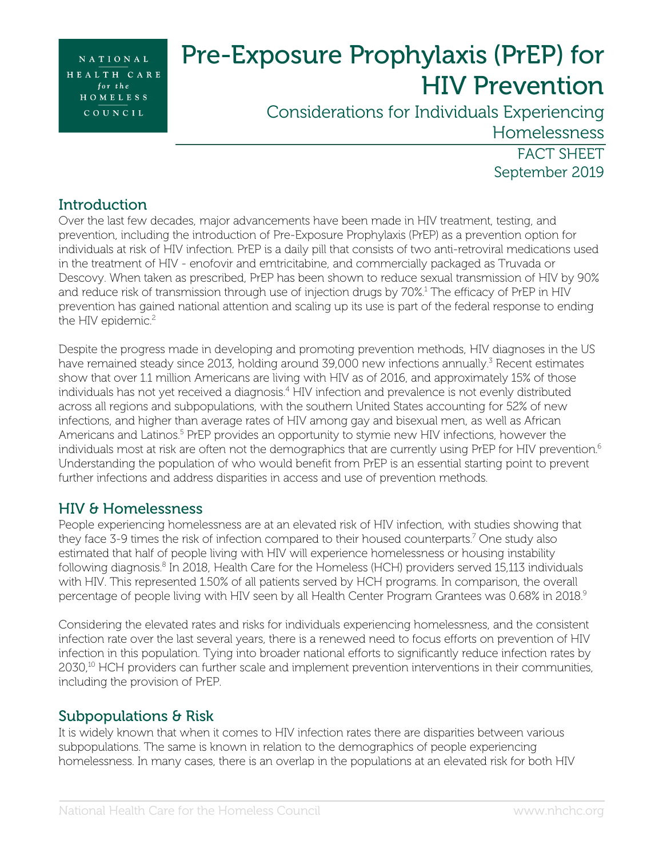NATIONAL HEALTH CARE for the HOMELESS COUNCIL

# Pre-Exposure Prophylaxis (PrEP) for HIV Prevention

Considerations for Individuals Experiencing Homelessness

> FACT SHEET September 2019

# **Introduction**

Over the last few decades, major advancements have been made in HIV treatment, testing, and prevention, including the introduction of Pre-Exposure Prophylaxis (PrEP) as a prevention option for individuals at risk of HIV infection. PrEP is a daily pill that consists of two anti-retroviral medications used in the treatment of HIV - enofovir and emtricitabine, and commercially packaged as Truvada or Descovy. When taken as prescribed, PrEP has been shown to reduce sexual transmission of HIV by 90% and reduce risk of transmission through use of injection drugs by 70%.1 The efficacy of PrEP in HIV prevention has gained national attention and scaling up its use is part of the federal response to ending the HIV epidemic.<sup>2</sup>

Despite the progress made in developing and promoting prevention methods, HIV diagnoses in the US have remained steady since 2013, holding around 39,000 new infections annually.<sup>3</sup> Recent estimates show that over 1.1 million Americans are living with HIV as of 2016, and approximately 15% of those individuals has not yet received a diagnosis.<sup>4</sup> HIV infection and prevalence is not evenly distributed across all regions and subpopulations, with the southern United States accounting for 52% of new infections, and higher than average rates of HIV among gay and bisexual men, as well as African Americans and Latinos. <sup>5</sup> PrEP provides an opportunity to stymie new HIV infections, however the individuals most at risk are often not the demographics that are currently using PrEP for HIV prevention.<sup>6</sup> Understanding the population of who would benefit from PrEP is an essential starting point to prevent further infections and address disparities in access and use of prevention methods.

# HIV & Homelessness

People experiencing homelessness are at an elevated risk of HIV infection, with studies showing that they face 3-9 times the risk of infection compared to their housed counterparts.<sup>7</sup> One study also estimated that half of people living with HIV will experience homelessness or housing instability following diagnosis.<sup>8</sup> In 2018, Health Care for the Homeless (HCH) providers served 15,113 individuals with HIV. This represented 1.50% of all patients served by HCH programs. In comparison, the overall percentage of people living with HIV seen by all Health Center Program Grantees was 0.68% in 2018. 9

Considering the elevated rates and risks for individuals experiencing homelessness, and the consistent infection rate over the last several years, there is a renewed need to focus efforts on prevention of HIV infection in this population. Tying into broader national efforts to significantly reduce infection rates by 2030, <sup>10</sup> HCH providers can further scale and implement prevention interventions in their communities, including the provision of PrEP.

## Subpopulations & Risk

It is widely known that when it comes to HIV infection rates there are disparities between various subpopulations. The same is known in relation to the demographics of people experiencing homelessness. In many cases, there is an overlap in the populations at an elevated risk for both HIV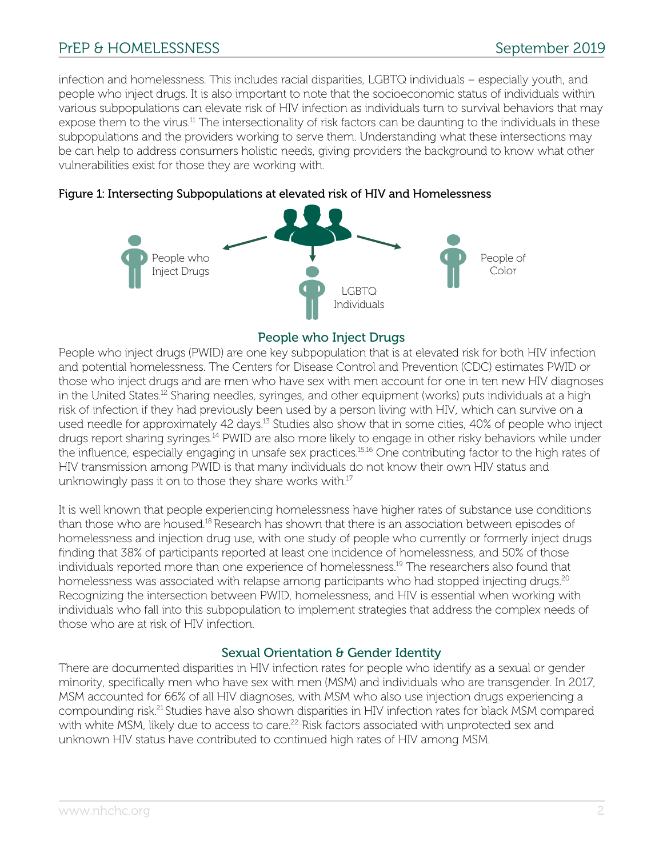People who Inject Drugs People of Color

infection and homelessness. This includes racial disparities, LGBTQ individuals – especially youth, and people who inject drugs. It is also important to note that the socioeconomic status of individuals within various subpopulations can elevate risk of HIV infection as individuals turn to survival behaviors that may expose them to the virus.<sup>11</sup> The intersectionality of risk factors can be daunting to the individuals in these subpopulations and the providers working to serve them. Understanding what these intersections may be can help to address consumers holistic needs, giving providers the background to know what other vulnerabilities exist for those they are working with.



## Figure 1: Intersecting Subpopulations at elevated risk of HIV and Homelessness

People who Inject Drugs People who inject drugs (PWID) are one key subpopulation that is at elevated risk for both HIV infection and potential homelessness. The Centers for Disease Control and Prevention (CDC) estimates PWID or those who inject drugs and are men who have sex with men account for one in ten new HIV diagnoses in the United States.<sup>12</sup> Sharing needles, syringes, and other equipment (works) puts individuals at a high risk of infection if they had previously been used by a person living with HIV, which can survive on a used needle for approximately 42 days.<sup>13</sup> Studies also show that in some cities, 40% of people who inject drugs report sharing syringes.<sup>14</sup> PWID are also more likely to engage in other risky behaviors while under the influence, especially engaging in unsafe sex practices.<sup>15,16</sup> One contributing factor to the high rates of HIV transmission among PWID is that many individuals do not know their own HIV status and unknowingly pass it on to those they share works with.<sup>17</sup>

LGBTQ Individuals

It is well known that people experiencing homelessness have higher rates of substance use conditions than those who are housed.18 Research has shown that there is an association between episodes of homelessness and injection drug use, with one study of people who currently or formerly inject drugs finding that 38% of participants reported at least one incidence of homelessness, and 50% of those individuals reported more than one experience of homelessness. <sup>19</sup> The researchers also found that homelessness was associated with relapse among participants who had stopped injecting drugs.<sup>20</sup> Recognizing the intersection between PWID, homelessness, and HIV is essential when working with individuals who fall into this subpopulation to implement strategies that address the complex needs of those who are at risk of HIV infection.

## Sexual Orientation & Gender Identity

There are documented disparities in HIV infection rates for people who identify as a sexual or gender minority, specifically men who have sex with men (MSM) and individuals who are transgender. In 2017, MSM accounted for 66% of all HIV diagnoses, with MSM who also use injection drugs experiencing a compounding risk.21 Studies have also shown disparities in HIV infection rates for black MSM compared with white MSM, likely due to access to care.<sup>22</sup> Risk factors associated with unprotected sex and unknown HIV status have contributed to continued high rates of HIV among MSM.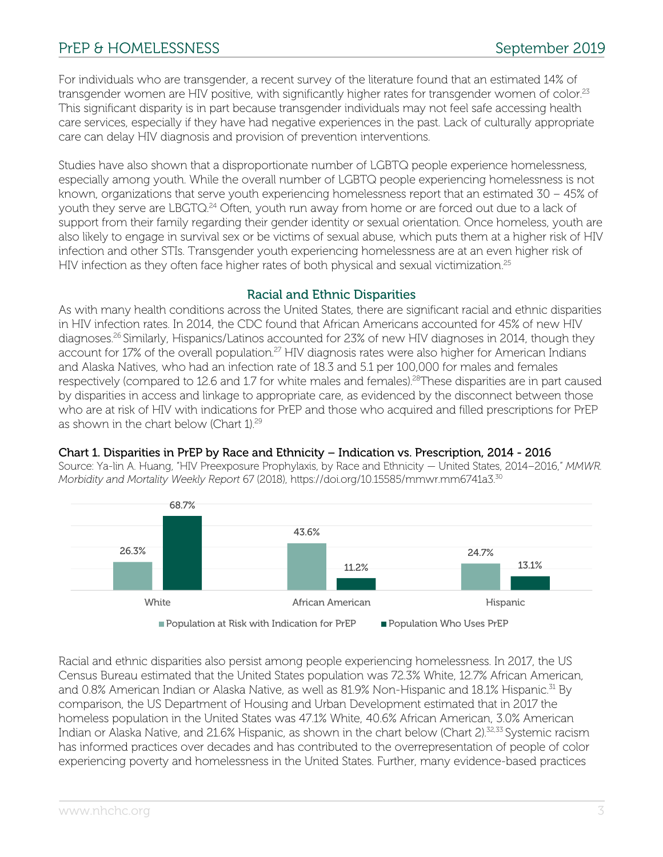For individuals who are transgender, a recent survey of the literature found that an estimated 14% of transgender women are HIV positive, with significantly higher rates for transgender women of color.<sup>23</sup> This significant disparity is in part because transgender individuals may not feel safe accessing health care services, especially if they have had negative experiences in the past. Lack of culturally appropriate care can delay HIV diagnosis and provision of prevention interventions.

Studies have also shown that a disproportionate number of LGBTQ people experience homelessness, especially among youth. While the overall number of LGBTQ people experiencing homelessness is not known, organizations that serve youth experiencing homelessness report that an estimated 30 – 45% of youth they serve are LBGTQ.<sup>24</sup> Often, youth run away from home or are forced out due to a lack of support from their family regarding their gender identity or sexual orientation. Once homeless, youth are also likely to engage in survival sex or be victims of sexual abuse, which puts them at a higher risk of HIV infection and other STIs. Transgender youth experiencing homelessness are at an even higher risk of HIV infection as they often face higher rates of both physical and sexual victimization.<sup>25</sup>

## Racial and Ethnic Disparities

As with many health conditions across the United States, there are significant racial and ethnic disparities in HIV infection rates. In 2014, the CDC found that African Americans accounted for 45% of new HIV diagnoses.<sup>26</sup> Similarly, Hispanics/Latinos accounted for 23% of new HIV diagnoses in 2014, though they account for 17% of the overall population.<sup>27</sup> HIV diagnosis rates were also higher for American Indians and Alaska Natives, who had an infection rate of 18.3 and 5.1 per 100,000 for males and females respectively (compared to 12.6 and 1.7 for white males and females).<sup>28</sup>These disparities are in part caused by disparities in access and linkage to appropriate care, as evidenced by the disconnect between those who are at risk of HIV with indications for PrEP and those who acquired and filled prescriptions for PrEP as shown in the chart below (Chart 1). 29

## Chart 1. Disparities in PrEP by Race and Ethnicity – Indication vs. Prescription, 2014 - 2016

Source: Ya-lin A. Huang, "HIV Preexposure Prophylaxis, by Race and Ethnicity — United States, 2014–2016," *MMWR. Morbidity and Mortality Weekly Report* 67 (2018), https://doi.org/10.15585/mmwr.mm6741a3.30



Racial and ethnic disparities also persist among people experiencing homelessness. In 2017, the US Census Bureau estimated that the United States population was 72.3% White, 12.7% African American, and 0.8% American Indian or Alaska Native, as well as 81.9% Non-Hispanic and 18.1% Hispanic.<sup>31</sup> By comparison, the US Department of Housing and Urban Development estimated that in 2017 the homeless population in the United States was 47.1% White, 40.6% African American, 3.0% American Indian or Alaska Native, and 21.6% Hispanic, as shown in the chart below (Chart 2).<sup>32,33</sup> Systemic racism has informed practices over decades and has contributed to the overrepresentation of people of color experiencing poverty and homelessness in the United States. Further, many evidence-based practices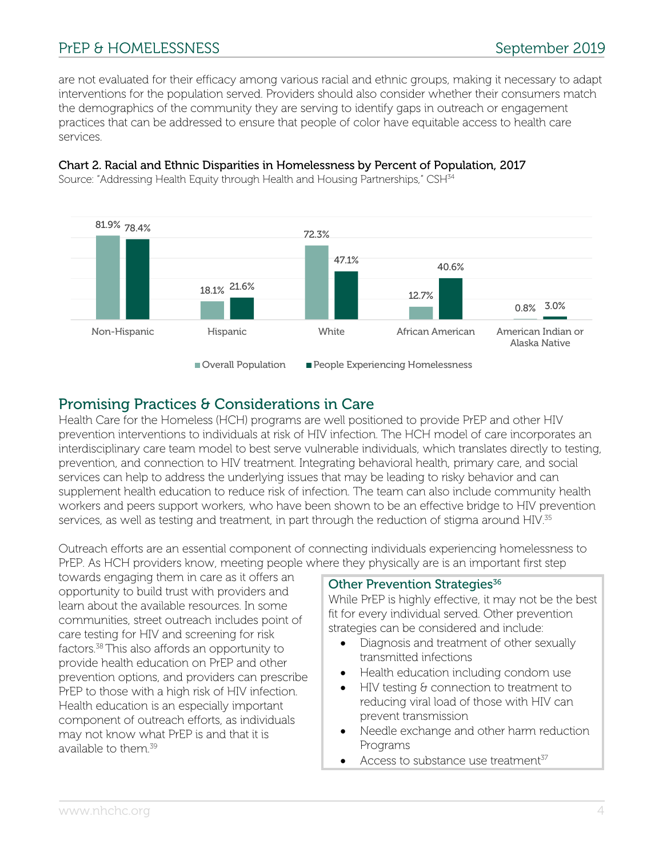are not evaluated for their efficacy among various racial and ethnic groups, making it necessary to adapt interventions for the population served. Providers should also consider whether their consumers match the demographics of the community they are serving to identify gaps in outreach or engagement practices that can be addressed to ensure that people of color have equitable access to health care services.

## Chart 2. Racial and Ethnic Disparities in Homelessness by Percent of Population, 2017

81.9% 78.4% 18.1% 21.6% 72.3% 12.7% 0.8% 3.0% 47.1% 40.6% Non-Hispanic Hispanic White African American American Indian or Alaska Native Overall Population People Experiencing Homelessness

Source: "Addressing Health Equity through Health and Housing Partnerships," CSH<sup>34</sup>

## Promising Practices & Considerations in Care

Health Care for the Homeless (HCH) programs are well positioned to provide PrEP and other HIV prevention interventions to individuals at risk of HIV infection. The HCH model of care incorporates an interdisciplinary care team model to best serve vulnerable individuals, which translates directly to testing, prevention, and connection to HIV treatment. Integrating behavioral health, primary care, and social services can help to address the underlying issues that may be leading to risky behavior and can supplement health education to reduce risk of infection. The team can also include community health workers and peers support workers, who have been shown to be an effective bridge to HIV prevention services, as well as testing and treatment, in part through the reduction of stigma around HIV.<sup>35</sup>

Outreach efforts are an essential component of connecting individuals experiencing homelessness to PrEP. As HCH providers know, meeting people where they physically are is an important first step

towards engaging them in care as it offers an opportunity to build trust with providers and learn about the available resources. In some communities, street outreach includes point of care testing for HIV and screening for risk factors.38 This also affords an opportunity to provide health education on PrEP and other prevention options, and providers can prescribe PrEP to those with a high risk of HIV infection. Health education is an especially important component of outreach efforts, as individuals may not know what PrEP is and that it is available to them.<sup>39</sup>

## Other Prevention Strategies<sup>36</sup>

While PrEP is highly effective, it may not be the best fit for every individual served. Other prevention strategies can be considered and include:

- Diagnosis and treatment of other sexually transmitted infections
- Health education including condom use
- HIV testing & connection to treatment to reducing viral load of those with HIV can prevent transmission
- Needle exchange and other harm reduction Programs
- Access to substance use treatment $37$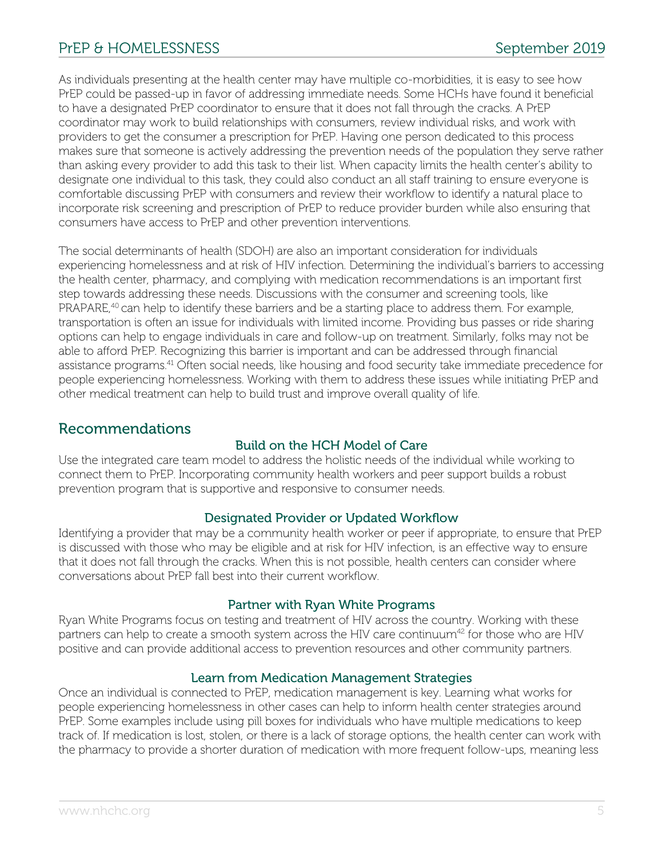As individuals presenting at the health center may have multiple co-morbidities, it is easy to see how PrEP could be passed-up in favor of addressing immediate needs. Some HCHs have found it beneficial to have a designated PrEP coordinator to ensure that it does not fall through the cracks. A PrEP coordinator may work to build relationships with consumers, review individual risks, and work with providers to get the consumer a prescription for PrEP. Having one person dedicated to this process makes sure that someone is actively addressing the prevention needs of the population they serve rather than asking every provider to add this task to their list. When capacity limits the health center's ability to designate one individual to this task, they could also conduct an all staff training to ensure everyone is comfortable discussing PrEP with consumers and review their workflow to identify a natural place to incorporate risk screening and prescription of PrEP to reduce provider burden while also ensuring that consumers have access to PrEP and other prevention interventions.

The social determinants of health (SDOH) are also an important consideration for individuals experiencing homelessness and at risk of HIV infection. Determining the individual's barriers to accessing the health center, pharmacy, and complying with medication recommendations is an important first step towards addressing these needs. Discussions with the consumer and screening tools, like PRAPARE,<sup>40</sup> can help to identify these barriers and be a starting place to address them. For example, transportation is often an issue for individuals with limited income. Providing bus passes or ride sharing options can help to engage individuals in care and follow-up on treatment. Similarly, folks may not be able to afford PrEP. Recognizing this barrier is important and can be addressed through financial assistance programs.<sup>41</sup> Often social needs, like housing and food security take immediate precedence for people experiencing homelessness. Working with them to address these issues while initiating PrEP and other medical treatment can help to build trust and improve overall quality of life.

## Recommendations

## Build on the HCH Model of Care

Use the integrated care team model to address the holistic needs of the individual while working to connect them to PrEP. Incorporating community health workers and peer support builds a robust prevention program that is supportive and responsive to consumer needs.

## Designated Provider or Updated Workflow

Identifying a provider that may be a community health worker or peer if appropriate, to ensure that PrEP is discussed with those who may be eligible and at risk for HIV infection, is an effective way to ensure that it does not fall through the cracks. When this is not possible, health centers can consider where conversations about PrEP fall best into their current workflow.

## Partner with Ryan White Programs

Ryan White Programs focus on testing and treatment of HIV across the country. Working with these partners can help to create a smooth system across the HIV care continuum<sup>42</sup> for those who are HIV positive and can provide additional access to prevention resources and other community partners.

## Learn from Medication Management Strategies

Once an individual is connected to PrEP, medication management is key. Learning what works for people experiencing homelessness in other cases can help to inform health center strategies around PrEP. Some examples include using pill boxes for individuals who have multiple medications to keep track of. If medication is lost, stolen, or there is a lack of storage options, the health center can work with the pharmacy to provide a shorter duration of medication with more frequent follow-ups, meaning less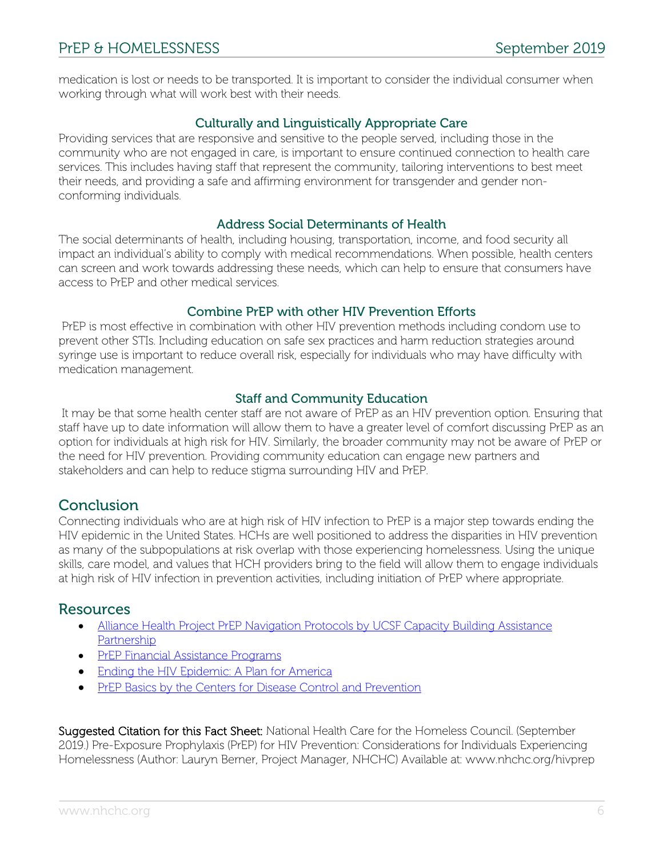medication is lost or needs to be transported. It is important to consider the individual consumer when working through what will work best with their needs.

## Culturally and Linguistically Appropriate Care

Providing services that are responsive and sensitive to the people served, including those in the community who are not engaged in care, is important to ensure continued connection to health care services. This includes having staff that represent the community, tailoring interventions to best meet their needs, and providing a safe and affirming environment for transgender and gender nonconforming individuals.

## Address Social Determinants of Health

The social determinants of health, including housing, transportation, income, and food security all impact an individual's ability to comply with medical recommendations. When possible, health centers can screen and work towards addressing these needs, which can help to ensure that consumers have access to PrEP and other medical services.

## Combine PrEP with other HIV Prevention Efforts

PrEP is most effective in combination with other HIV prevention methods including condom use to prevent other STIs. Including education on safe sex practices and harm reduction strategies around syringe use is important to reduce overall risk, especially for individuals who may have difficulty with medication management.

## Staff and Community Education

It may be that some health center staff are not aware of PrEP as an HIV prevention option. Ensuring that staff have up to date information will allow them to have a greater level of comfort discussing PrEP as an option for individuals at high risk for HIV. Similarly, the broader community may not be aware of PrEP or the need for HIV prevention. Providing community education can engage new partners and stakeholders and can help to reduce stigma surrounding HIV and PrEP.

## **Conclusion**

Connecting individuals who are at high risk of HIV infection to PrEP is a major step towards ending the HIV epidemic in the United States. HCHs are well positioned to address the disparities in HIV prevention as many of the subpopulations at risk overlap with those experiencing homelessness. Using the unique skills, care model, and values that HCH providers bring to the field will allow them to engage individuals at high risk of HIV infection in prevention activities, including initiation of PrEP where appropriate.

## **Resources**

- Alliance Health Project PrEP Navigation Protocols by UCSF Capacity Building Assistance Partnership
- PrEP Financial Assistance Programs
- Ending the HIV Epidemic: A Plan for America
- PrEP Basics by the Centers for Disease Control and Prevention

Suggested Citation for this Fact Sheet: National Health Care for the Homeless Council. (September 2019.) Pre-Exposure Prophylaxis (PrEP) for HIV Prevention: Considerations for Individuals Experiencing Homelessness (Author: Lauryn Berner, Project Manager, NHCHC) Available at: www.nhchc.org/hivprep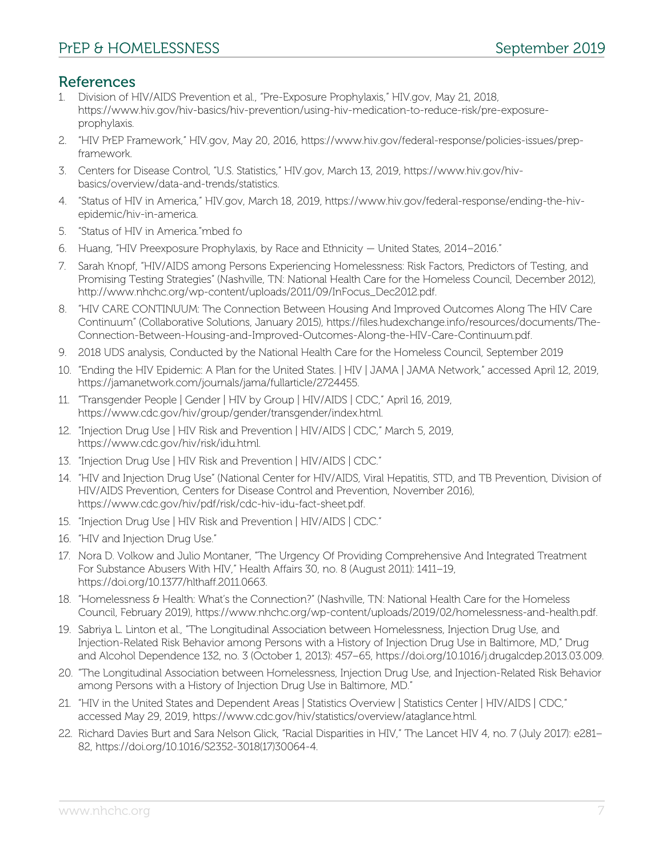# References

- 1. Division of HIV/AIDS Prevention et al., "Pre-Exposure Prophylaxis," HIV.gov, May 21, 2018, https://www.hiv.gov/hiv-basics/hiv-prevention/using-hiv-medication-to-reduce-risk/pre-exposureprophylaxis.
- 2. "HIV PrEP Framework," HIV.gov, May 20, 2016, https://www.hiv.gov/federal-response/policies-issues/prepframework.
- 3. Centers for Disease Control, "U.S. Statistics," HIV.gov, March 13, 2019, https://www.hiv.gov/hivbasics/overview/data-and-trends/statistics.
- 4. "Status of HIV in America," HIV.gov, March 18, 2019, https://www.hiv.gov/federal-response/ending-the-hivepidemic/hiv-in-america.
- 5. "Status of HIV in America."mbed fo
- 6. Huang, "HIV Preexposure Prophylaxis, by Race and Ethnicity United States, 2014–2016."
- 7. Sarah Knopf, "HIV/AIDS among Persons Experiencing Homelessness: Risk Factors, Predictors of Testing, and Promising Testing Strategies" (Nashville, TN: National Health Care for the Homeless Council, December 2012), http://www.nhchc.org/wp-content/uploads/2011/09/InFocus\_Dec2012.pdf.
- 8. "HIV CARE CONTINUUM: The Connection Between Housing And Improved Outcomes Along The HIV Care Continuum" (Collaborative Solutions, January 2015), https://files.hudexchange.info/resources/documents/The-Connection-Between-Housing-and-Improved-Outcomes-Along-the-HIV-Care-Continuum.pdf.
- 9. 2018 UDS analysis, Conducted by the National Health Care for the Homeless Council, September 2019
- 10. "Ending the HIV Epidemic: A Plan for the United States. | HIV | JAMA | JAMA Network," accessed April 12, 2019, https://jamanetwork.com/journals/jama/fullarticle/2724455.
- 11. "Transgender People | Gender | HIV by Group | HIV/AIDS | CDC," April 16, 2019, https://www.cdc.gov/hiv/group/gender/transgender/index.html.
- 12. "Injection Drug Use | HIV Risk and Prevention | HIV/AIDS | CDC," March 5, 2019, https://www.cdc.gov/hiv/risk/idu.html.
- 13. "Injection Drug Use | HIV Risk and Prevention | HIV/AIDS | CDC."
- 14. "HIV and Injection Drug Use" (National Center for HIV/AIDS, Viral Hepatitis, STD, and TB Prevention, Division of HIV/AIDS Prevention, Centers for Disease Control and Prevention, November 2016), https://www.cdc.gov/hiv/pdf/risk/cdc-hiv-idu-fact-sheet.pdf.
- 15. "Injection Drug Use | HIV Risk and Prevention | HIV/AIDS | CDC."
- 16. "HIV and Injection Drug Use."
- 17. Nora D. Volkow and Julio Montaner, "The Urgency Of Providing Comprehensive And Integrated Treatment For Substance Abusers With HIV," Health Affairs 30, no. 8 (August 2011): 1411–19, https://doi.org/10.1377/hlthaff.2011.0663.
- 18. "Homelessness & Health: What's the Connection?" (Nashville, TN: National Health Care for the Homeless Council, February 2019), https://www.nhchc.org/wp-content/uploads/2019/02/homelessness-and-health.pdf.
- 19. Sabriya L. Linton et al., "The Longitudinal Association between Homelessness, Injection Drug Use, and Injection-Related Risk Behavior among Persons with a History of Injection Drug Use in Baltimore, MD," Drug and Alcohol Dependence 132, no. 3 (October 1, 2013): 457–65, https://doi.org/10.1016/j.drugalcdep.2013.03.009.
- 20. "The Longitudinal Association between Homelessness, Injection Drug Use, and Injection-Related Risk Behavior among Persons with a History of Injection Drug Use in Baltimore, MD."
- 21. "HIV in the United States and Dependent Areas | Statistics Overview | Statistics Center | HIV/AIDS | CDC," accessed May 29, 2019, https://www.cdc.gov/hiv/statistics/overview/ataglance.html.
- 22. Richard Davies Burt and Sara Nelson Glick, "Racial Disparities in HIV," The Lancet HIV 4, no. 7 (July 2017): e281– 82, https://doi.org/10.1016/S2352-3018(17)30064-4.